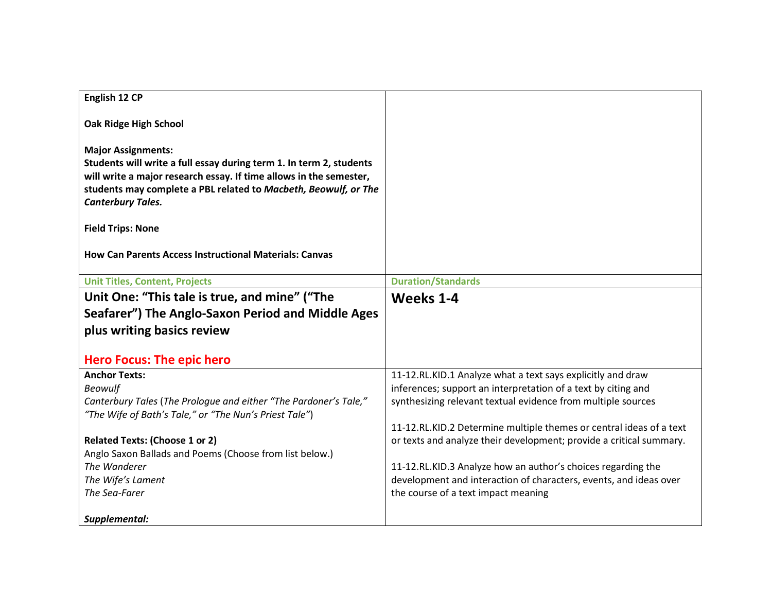| English 12 CP                                                                                                                                                                                                                                                         |                                                                     |
|-----------------------------------------------------------------------------------------------------------------------------------------------------------------------------------------------------------------------------------------------------------------------|---------------------------------------------------------------------|
| Oak Ridge High School                                                                                                                                                                                                                                                 |                                                                     |
| <b>Major Assignments:</b><br>Students will write a full essay during term 1. In term 2, students<br>will write a major research essay. If time allows in the semester,<br>students may complete a PBL related to Macbeth, Beowulf, or The<br><b>Canterbury Tales.</b> |                                                                     |
| <b>Field Trips: None</b>                                                                                                                                                                                                                                              |                                                                     |
| <b>How Can Parents Access Instructional Materials: Canvas</b>                                                                                                                                                                                                         |                                                                     |
| <b>Unit Titles, Content, Projects</b>                                                                                                                                                                                                                                 | <b>Duration/Standards</b>                                           |
| Unit One: "This tale is true, and mine" ("The                                                                                                                                                                                                                         | Weeks 1-4                                                           |
| Seafarer") The Anglo-Saxon Period and Middle Ages                                                                                                                                                                                                                     |                                                                     |
| plus writing basics review                                                                                                                                                                                                                                            |                                                                     |
|                                                                                                                                                                                                                                                                       |                                                                     |
| <b>Hero Focus: The epic hero</b>                                                                                                                                                                                                                                      |                                                                     |
| <b>Anchor Texts:</b>                                                                                                                                                                                                                                                  | 11-12.RL.KID.1 Analyze what a text says explicitly and draw         |
| <b>Beowulf</b>                                                                                                                                                                                                                                                        | inferences; support an interpretation of a text by citing and       |
| Canterbury Tales (The Prologue and either "The Pardoner's Tale,"<br>"The Wife of Bath's Tale," or "The Nun's Priest Tale")                                                                                                                                            | synthesizing relevant textual evidence from multiple sources        |
|                                                                                                                                                                                                                                                                       | 11-12.RL.KID.2 Determine multiple themes or central ideas of a text |
| <b>Related Texts: (Choose 1 or 2)</b>                                                                                                                                                                                                                                 | or texts and analyze their development; provide a critical summary. |
| Anglo Saxon Ballads and Poems (Choose from list below.)                                                                                                                                                                                                               |                                                                     |
| The Wanderer                                                                                                                                                                                                                                                          | 11-12.RL.KID.3 Analyze how an author's choices regarding the        |
| The Wife's Lament                                                                                                                                                                                                                                                     | development and interaction of characters, events, and ideas over   |
| The Sea-Farer                                                                                                                                                                                                                                                         | the course of a text impact meaning                                 |
| Supplemental:                                                                                                                                                                                                                                                         |                                                                     |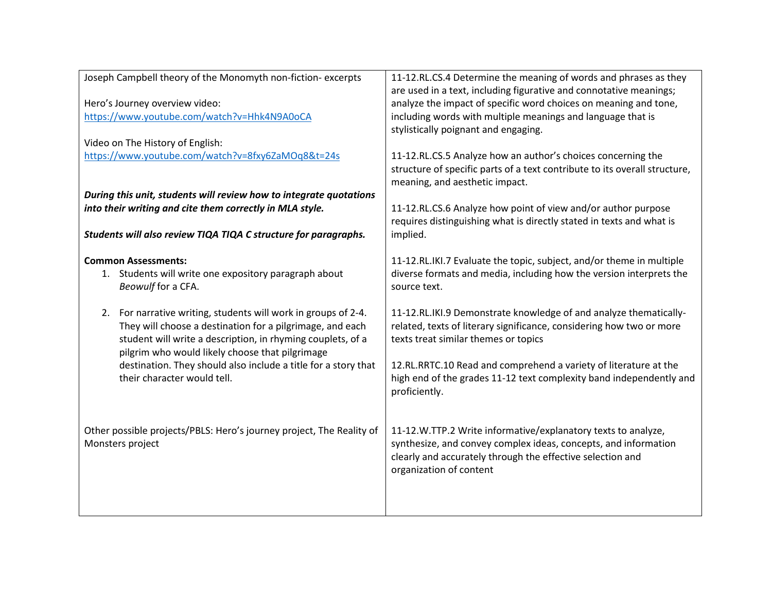| Joseph Campbell theory of the Monomyth non-fiction- excerpts         | 11-12.RL.CS.4 Determine the meaning of words and phrases as they           |
|----------------------------------------------------------------------|----------------------------------------------------------------------------|
|                                                                      | are used in a text, including figurative and connotative meanings;         |
| Hero's Journey overview video:                                       | analyze the impact of specific word choices on meaning and tone,           |
| https://www.youtube.com/watch?v=Hhk4N9A0oCA                          | including words with multiple meanings and language that is                |
|                                                                      | stylistically poignant and engaging.                                       |
| Video on The History of English:                                     |                                                                            |
| https://www.youtube.com/watch?v=8fxy6ZaMOq8&t=24s                    | 11-12.RL.CS.5 Analyze how an author's choices concerning the               |
|                                                                      | structure of specific parts of a text contribute to its overall structure, |
|                                                                      | meaning, and aesthetic impact.                                             |
| During this unit, students will review how to integrate quotations   |                                                                            |
| into their writing and cite them correctly in MLA style.             | 11-12.RL.CS.6 Analyze how point of view and/or author purpose              |
|                                                                      | requires distinguishing what is directly stated in texts and what is       |
| Students will also review TIQA TIQA C structure for paragraphs.      | implied.                                                                   |
|                                                                      |                                                                            |
| <b>Common Assessments:</b>                                           | 11-12.RL.IKI.7 Evaluate the topic, subject, and/or theme in multiple       |
| 1. Students will write one expository paragraph about                | diverse formats and media, including how the version interprets the        |
| Beowulf for a CFA.                                                   | source text.                                                               |
|                                                                      |                                                                            |
| 2. For narrative writing, students will work in groups of 2-4.       | 11-12.RL.IKI.9 Demonstrate knowledge of and analyze thematically-          |
| They will choose a destination for a pilgrimage, and each            | related, texts of literary significance, considering how two or more       |
| student will write a description, in rhyming couplets, of a          | texts treat similar themes or topics                                       |
| pilgrim who would likely choose that pilgrimage                      |                                                                            |
|                                                                      |                                                                            |
| destination. They should also include a title for a story that       | 12.RL.RRTC.10 Read and comprehend a variety of literature at the           |
| their character would tell.                                          | high end of the grades 11-12 text complexity band independently and        |
|                                                                      | proficiently.                                                              |
|                                                                      |                                                                            |
|                                                                      |                                                                            |
| Other possible projects/PBLS: Hero's journey project, The Reality of | 11-12.W.TTP.2 Write informative/explanatory texts to analyze,              |
| Monsters project                                                     | synthesize, and convey complex ideas, concepts, and information            |
|                                                                      | clearly and accurately through the effective selection and                 |
|                                                                      | organization of content                                                    |
|                                                                      |                                                                            |
|                                                                      |                                                                            |
|                                                                      |                                                                            |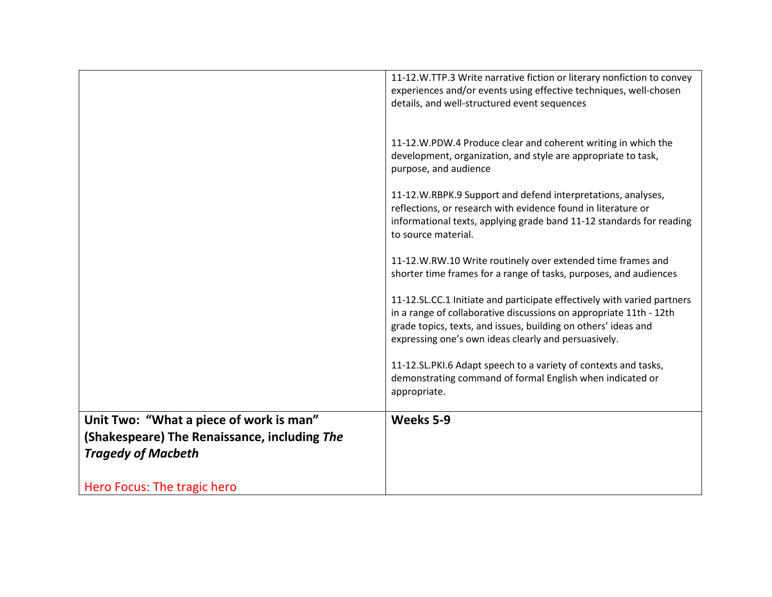|                                              | 11-12.W.TTP.3 Write narrative fiction or literary nonfiction to convey<br>experiences and/or events using effective techniques, well-chosen<br>details, and well-structured event sequences                                                                             |
|----------------------------------------------|-------------------------------------------------------------------------------------------------------------------------------------------------------------------------------------------------------------------------------------------------------------------------|
|                                              |                                                                                                                                                                                                                                                                         |
|                                              | 11-12.W.PDW.4 Produce clear and coherent writing in which the<br>development, organization, and style are appropriate to task,<br>purpose, and audience                                                                                                                 |
|                                              | 11-12.W.RBPK.9 Support and defend interpretations, analyses,<br>reflections, or research with evidence found in literature or<br>informational texts, applying grade band 11-12 standards for reading<br>to source material.                                            |
|                                              | 11-12.W.RW.10 Write routinely over extended time frames and<br>shorter time frames for a range of tasks, purposes, and audiences                                                                                                                                        |
|                                              | 11-12.SL.CC.1 Initiate and participate effectively with varied partners<br>in a range of collaborative discussions on appropriate 11th - 12th<br>grade topics, texts, and issues, building on others' ideas and<br>expressing one's own ideas clearly and persuasively. |
|                                              | 11-12.SL.PKI.6 Adapt speech to a variety of contexts and tasks,<br>demonstrating command of formal English when indicated or<br>appropriate.                                                                                                                            |
| Unit Two: "What a piece of work is man"      | Weeks 5-9                                                                                                                                                                                                                                                               |
| (Shakespeare) The Renaissance, including The |                                                                                                                                                                                                                                                                         |
| <b>Tragedy of Macbeth</b>                    |                                                                                                                                                                                                                                                                         |
| Hero Focus: The tragic hero                  |                                                                                                                                                                                                                                                                         |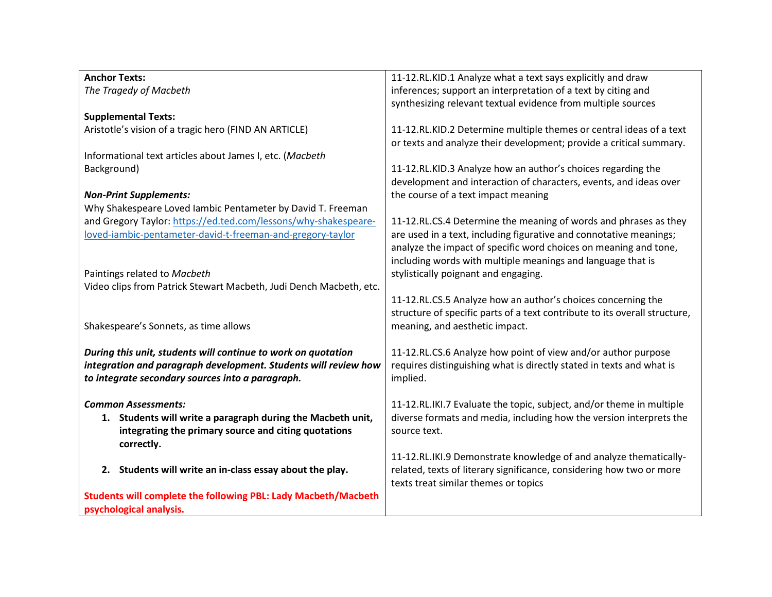| <b>Anchor Texts:</b>                                                  | 11-12.RL.KID.1 Analyze what a text says explicitly and draw                |
|-----------------------------------------------------------------------|----------------------------------------------------------------------------|
| The Tragedy of Macbeth                                                | inferences; support an interpretation of a text by citing and              |
|                                                                       | synthesizing relevant textual evidence from multiple sources               |
| <b>Supplemental Texts:</b>                                            |                                                                            |
| Aristotle's vision of a tragic hero (FIND AN ARTICLE)                 | 11-12.RL.KID.2 Determine multiple themes or central ideas of a text        |
|                                                                       | or texts and analyze their development; provide a critical summary.        |
| Informational text articles about James I, etc. (Macbeth              |                                                                            |
|                                                                       |                                                                            |
| Background)                                                           | 11-12.RL.KID.3 Analyze how an author's choices regarding the               |
|                                                                       | development and interaction of characters, events, and ideas over          |
| <b>Non-Print Supplements:</b>                                         | the course of a text impact meaning                                        |
| Why Shakespeare Loved lambic Pentameter by David T. Freeman           |                                                                            |
| and Gregory Taylor: https://ed.ted.com/lessons/why-shakespeare-       | 11-12.RL.CS.4 Determine the meaning of words and phrases as they           |
| loved-iambic-pentameter-david-t-freeman-and-gregory-taylor            | are used in a text, including figurative and connotative meanings;         |
|                                                                       | analyze the impact of specific word choices on meaning and tone,           |
|                                                                       | including words with multiple meanings and language that is                |
| Paintings related to Macbeth                                          | stylistically poignant and engaging.                                       |
| Video clips from Patrick Stewart Macbeth, Judi Dench Macbeth, etc.    |                                                                            |
|                                                                       |                                                                            |
|                                                                       | 11-12.RL.CS.5 Analyze how an author's choices concerning the               |
|                                                                       | structure of specific parts of a text contribute to its overall structure, |
| Shakespeare's Sonnets, as time allows                                 | meaning, and aesthetic impact.                                             |
|                                                                       |                                                                            |
| During this unit, students will continue to work on quotation         | 11-12.RL.CS.6 Analyze how point of view and/or author purpose              |
| integration and paragraph development. Students will review how       | requires distinguishing what is directly stated in texts and what is       |
| to integrate secondary sources into a paragraph.                      | implied.                                                                   |
|                                                                       |                                                                            |
| <b>Common Assessments:</b>                                            | 11-12.RL.IKI.7 Evaluate the topic, subject, and/or theme in multiple       |
| 1. Students will write a paragraph during the Macbeth unit,           | diverse formats and media, including how the version interprets the        |
|                                                                       | source text.                                                               |
| integrating the primary source and citing quotations                  |                                                                            |
| correctly.                                                            |                                                                            |
|                                                                       | 11-12.RL.IKI.9 Demonstrate knowledge of and analyze thematically-          |
| 2. Students will write an in-class essay about the play.              | related, texts of literary significance, considering how two or more       |
|                                                                       | texts treat similar themes or topics                                       |
| <b>Students will complete the following PBL: Lady Macbeth/Macbeth</b> |                                                                            |
| psychological analysis.                                               |                                                                            |
|                                                                       |                                                                            |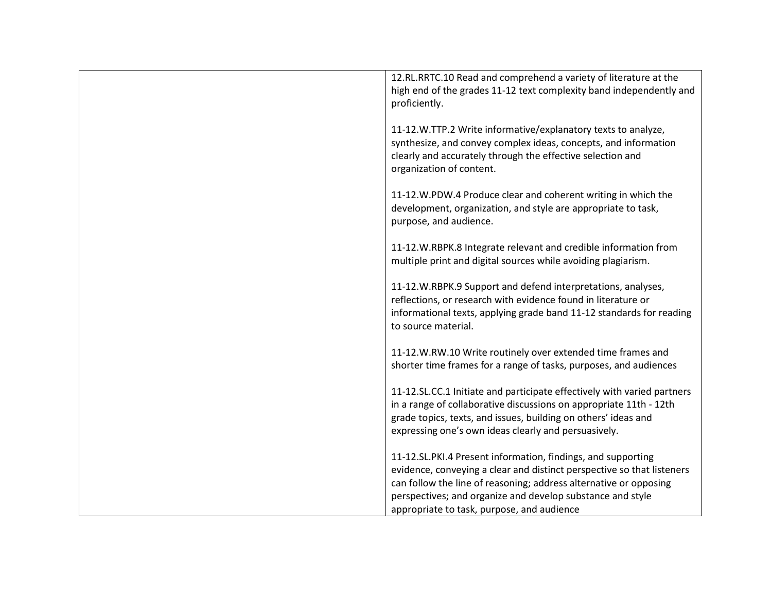| 12.RL.RRTC.10 Read and comprehend a variety of literature at the<br>high end of the grades 11-12 text complexity band independently and                   |
|-----------------------------------------------------------------------------------------------------------------------------------------------------------|
| proficiently.                                                                                                                                             |
| 11-12.W.TTP.2 Write informative/explanatory texts to analyze,                                                                                             |
| synthesize, and convey complex ideas, concepts, and information<br>clearly and accurately through the effective selection and<br>organization of content. |
| 11-12.W.PDW.4 Produce clear and coherent writing in which the                                                                                             |
| development, organization, and style are appropriate to task,<br>purpose, and audience.                                                                   |
| 11-12.W.RBPK.8 Integrate relevant and credible information from                                                                                           |
| multiple print and digital sources while avoiding plagiarism.                                                                                             |
| 11-12.W.RBPK.9 Support and defend interpretations, analyses,<br>reflections, or research with evidence found in literature or                             |
| informational texts, applying grade band 11-12 standards for reading<br>to source material.                                                               |
| 11-12.W.RW.10 Write routinely over extended time frames and                                                                                               |
| shorter time frames for a range of tasks, purposes, and audiences                                                                                         |
| 11-12.SL.CC.1 Initiate and participate effectively with varied partners                                                                                   |
| in a range of collaborative discussions on appropriate 11th - 12th<br>grade topics, texts, and issues, building on others' ideas and                      |
| expressing one's own ideas clearly and persuasively.                                                                                                      |
| 11-12.SL.PKI.4 Present information, findings, and supporting                                                                                              |
| evidence, conveying a clear and distinct perspective so that listeners<br>can follow the line of reasoning; address alternative or opposing               |
| perspectives; and organize and develop substance and style                                                                                                |
| appropriate to task, purpose, and audience                                                                                                                |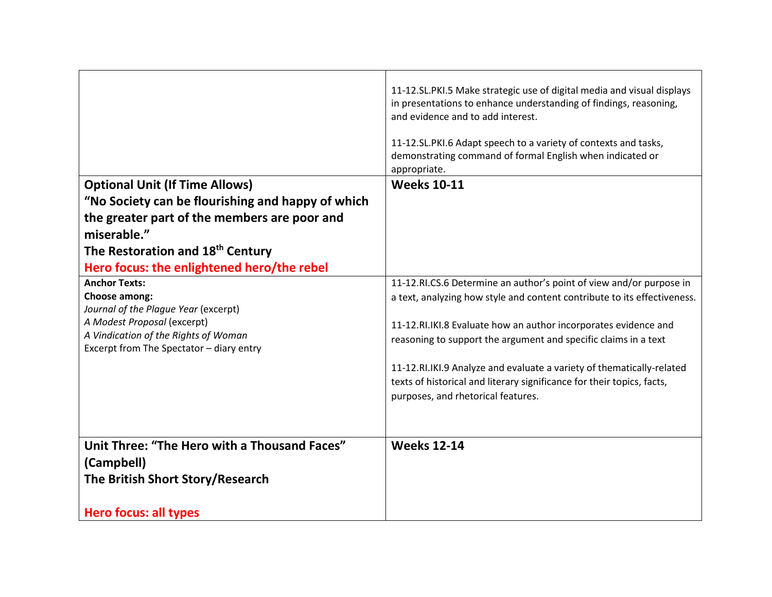|                                                                                                                 | 11-12.SL.PKI.5 Make strategic use of digital media and visual displays<br>in presentations to enhance understanding of findings, reasoning,<br>and evidence and to add interest.<br>11-12.SL.PKI.6 Adapt speech to a variety of contexts and tasks,<br>demonstrating command of formal English when indicated or<br>appropriate. |
|-----------------------------------------------------------------------------------------------------------------|----------------------------------------------------------------------------------------------------------------------------------------------------------------------------------------------------------------------------------------------------------------------------------------------------------------------------------|
| <b>Optional Unit (If Time Allows)</b>                                                                           | <b>Weeks 10-11</b>                                                                                                                                                                                                                                                                                                               |
| "No Society can be flourishing and happy of which                                                               |                                                                                                                                                                                                                                                                                                                                  |
| the greater part of the members are poor and                                                                    |                                                                                                                                                                                                                                                                                                                                  |
| miserable."                                                                                                     |                                                                                                                                                                                                                                                                                                                                  |
| The Restoration and 18 <sup>th</sup> Century                                                                    |                                                                                                                                                                                                                                                                                                                                  |
| Hero focus: the enlightened hero/the rebel                                                                      |                                                                                                                                                                                                                                                                                                                                  |
| <b>Anchor Texts:</b><br>Choose among:<br>Journal of the Plague Year (excerpt)                                   | 11-12.RI.CS.6 Determine an author's point of view and/or purpose in<br>a text, analyzing how style and content contribute to its effectiveness.                                                                                                                                                                                  |
| A Modest Proposal (excerpt)<br>A Vindication of the Rights of Woman<br>Excerpt from The Spectator - diary entry | 11-12.RI.IKI.8 Evaluate how an author incorporates evidence and<br>reasoning to support the argument and specific claims in a text                                                                                                                                                                                               |
|                                                                                                                 | 11-12.RI.IKI.9 Analyze and evaluate a variety of thematically-related<br>texts of historical and literary significance for their topics, facts,<br>purposes, and rhetorical features.                                                                                                                                            |
| Unit Three: "The Hero with a Thousand Faces"                                                                    | <b>Weeks 12-14</b>                                                                                                                                                                                                                                                                                                               |
| (Campbell)                                                                                                      |                                                                                                                                                                                                                                                                                                                                  |
| The British Short Story/Research                                                                                |                                                                                                                                                                                                                                                                                                                                  |
| <b>Hero focus: all types</b>                                                                                    |                                                                                                                                                                                                                                                                                                                                  |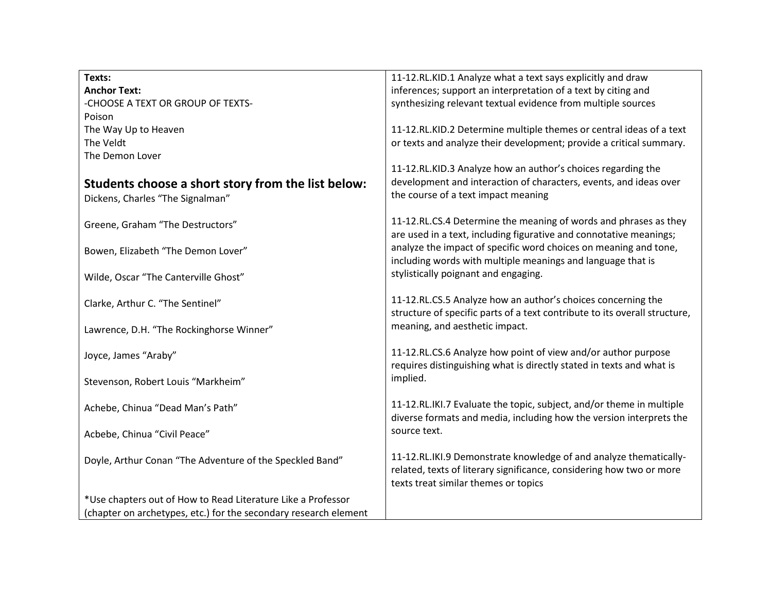| Texts:                                                           | 11-12.RL.KID.1 Analyze what a text says explicitly and draw                                                                                |
|------------------------------------------------------------------|--------------------------------------------------------------------------------------------------------------------------------------------|
| <b>Anchor Text:</b>                                              | inferences; support an interpretation of a text by citing and                                                                              |
| -CHOOSE A TEXT OR GROUP OF TEXTS-                                | synthesizing relevant textual evidence from multiple sources                                                                               |
| Poison                                                           |                                                                                                                                            |
| The Way Up to Heaven                                             | 11-12.RL.KID.2 Determine multiple themes or central ideas of a text                                                                        |
| The Veldt                                                        | or texts and analyze their development; provide a critical summary.                                                                        |
| The Demon Lover                                                  |                                                                                                                                            |
|                                                                  | 11-12.RL.KID.3 Analyze how an author's choices regarding the                                                                               |
|                                                                  | development and interaction of characters, events, and ideas over                                                                          |
| Students choose a short story from the list below:               | the course of a text impact meaning                                                                                                        |
| Dickens, Charles "The Signalman"                                 |                                                                                                                                            |
|                                                                  | 11-12.RL.CS.4 Determine the meaning of words and phrases as they                                                                           |
| Greene, Graham "The Destructors"                                 | are used in a text, including figurative and connotative meanings;                                                                         |
|                                                                  | analyze the impact of specific word choices on meaning and tone,                                                                           |
| Bowen, Elizabeth "The Demon Lover"                               | including words with multiple meanings and language that is                                                                                |
|                                                                  |                                                                                                                                            |
| Wilde, Oscar "The Canterville Ghost"                             | stylistically poignant and engaging.                                                                                                       |
|                                                                  |                                                                                                                                            |
| Clarke, Arthur C. "The Sentinel"                                 | 11-12.RL.CS.5 Analyze how an author's choices concerning the<br>structure of specific parts of a text contribute to its overall structure, |
|                                                                  |                                                                                                                                            |
| Lawrence, D.H. "The Rockinghorse Winner"                         | meaning, and aesthetic impact.                                                                                                             |
|                                                                  |                                                                                                                                            |
| Joyce, James "Araby"                                             | 11-12.RL.CS.6 Analyze how point of view and/or author purpose                                                                              |
|                                                                  | requires distinguishing what is directly stated in texts and what is                                                                       |
| Stevenson, Robert Louis "Markheim"                               | implied.                                                                                                                                   |
|                                                                  |                                                                                                                                            |
| Achebe, Chinua "Dead Man's Path"                                 | 11-12.RL.IKI.7 Evaluate the topic, subject, and/or theme in multiple                                                                       |
|                                                                  | diverse formats and media, including how the version interprets the                                                                        |
| Acbebe, Chinua "Civil Peace"                                     | source text.                                                                                                                               |
|                                                                  |                                                                                                                                            |
| Doyle, Arthur Conan "The Adventure of the Speckled Band"         | 11-12.RL.IKI.9 Demonstrate knowledge of and analyze thematically-                                                                          |
|                                                                  | related, texts of literary significance, considering how two or more                                                                       |
|                                                                  | texts treat similar themes or topics                                                                                                       |
| *Use chapters out of How to Read Literature Like a Professor     |                                                                                                                                            |
| (chapter on archetypes, etc.) for the secondary research element |                                                                                                                                            |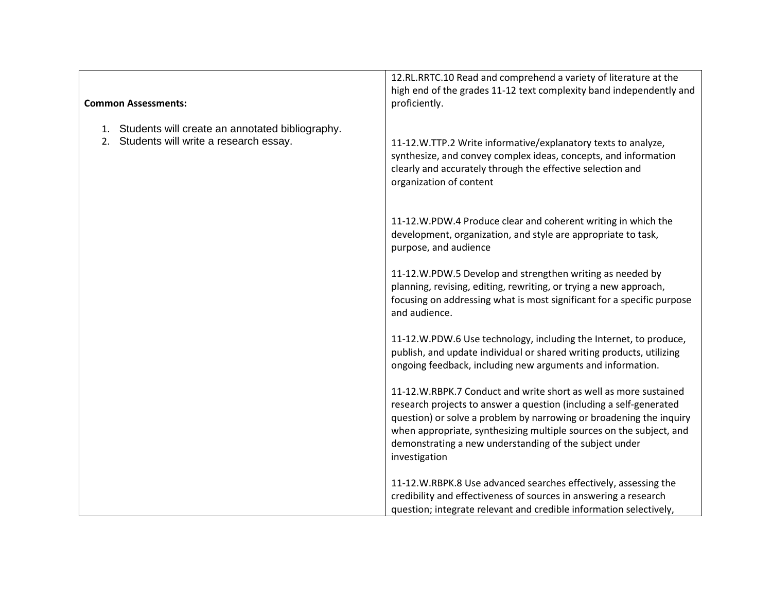|                                                    | 12.RL.RRTC.10 Read and comprehend a variety of literature at the       |
|----------------------------------------------------|------------------------------------------------------------------------|
|                                                    | high end of the grades 11-12 text complexity band independently and    |
| <b>Common Assessments:</b>                         | proficiently.                                                          |
|                                                    |                                                                        |
| 1. Students will create an annotated bibliography. |                                                                        |
| 2. Students will write a research essay.           | 11-12.W.TTP.2 Write informative/explanatory texts to analyze,          |
|                                                    | synthesize, and convey complex ideas, concepts, and information        |
|                                                    | clearly and accurately through the effective selection and             |
|                                                    | organization of content                                                |
|                                                    |                                                                        |
|                                                    |                                                                        |
|                                                    | 11-12.W.PDW.4 Produce clear and coherent writing in which the          |
|                                                    | development, organization, and style are appropriate to task,          |
|                                                    | purpose, and audience                                                  |
|                                                    | 11-12.W.PDW.5 Develop and strengthen writing as needed by              |
|                                                    | planning, revising, editing, rewriting, or trying a new approach,      |
|                                                    | focusing on addressing what is most significant for a specific purpose |
|                                                    | and audience.                                                          |
|                                                    |                                                                        |
|                                                    | 11-12.W.PDW.6 Use technology, including the Internet, to produce,      |
|                                                    | publish, and update individual or shared writing products, utilizing   |
|                                                    | ongoing feedback, including new arguments and information.             |
|                                                    |                                                                        |
|                                                    | 11-12.W.RBPK.7 Conduct and write short as well as more sustained       |
|                                                    | research projects to answer a question (including a self-generated     |
|                                                    | question) or solve a problem by narrowing or broadening the inquiry    |
|                                                    | when appropriate, synthesizing multiple sources on the subject, and    |
|                                                    | demonstrating a new understanding of the subject under                 |
|                                                    | investigation                                                          |
|                                                    |                                                                        |
|                                                    | 11-12.W.RBPK.8 Use advanced searches effectively, assessing the        |
|                                                    | credibility and effectiveness of sources in answering a research       |
|                                                    | question; integrate relevant and credible information selectively,     |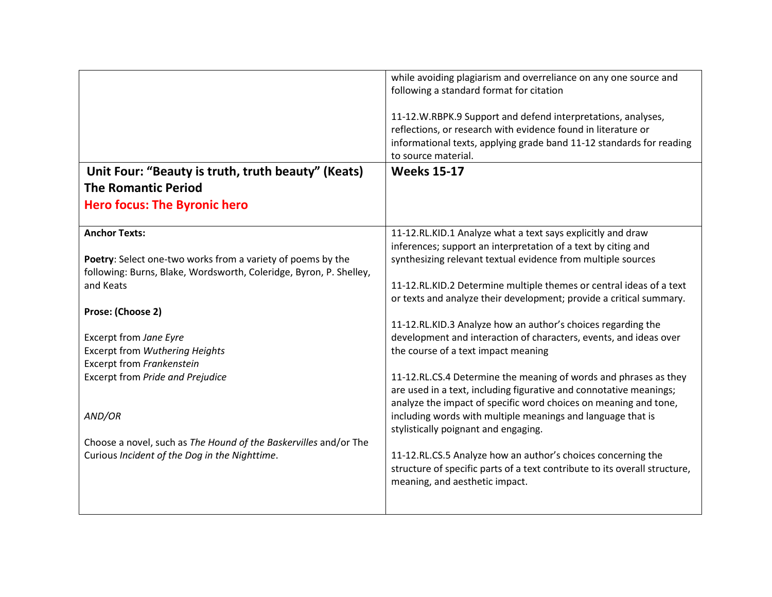|                                                                                                                                   | while avoiding plagiarism and overreliance on any one source and<br>following a standard format for citation<br>11-12.W.RBPK.9 Support and defend interpretations, analyses,<br>reflections, or research with evidence found in literature or<br>informational texts, applying grade band 11-12 standards for reading<br>to source material. |
|-----------------------------------------------------------------------------------------------------------------------------------|----------------------------------------------------------------------------------------------------------------------------------------------------------------------------------------------------------------------------------------------------------------------------------------------------------------------------------------------|
| Unit Four: "Beauty is truth, truth beauty" (Keats)<br><b>The Romantic Period</b>                                                  | <b>Weeks 15-17</b>                                                                                                                                                                                                                                                                                                                           |
| <b>Hero focus: The Byronic hero</b>                                                                                               |                                                                                                                                                                                                                                                                                                                                              |
| <b>Anchor Texts:</b>                                                                                                              | 11-12.RL.KID.1 Analyze what a text says explicitly and draw<br>inferences; support an interpretation of a text by citing and                                                                                                                                                                                                                 |
| Poetry: Select one-two works from a variety of poems by the<br>following: Burns, Blake, Wordsworth, Coleridge, Byron, P. Shelley, | synthesizing relevant textual evidence from multiple sources                                                                                                                                                                                                                                                                                 |
| and Keats                                                                                                                         | 11-12.RL.KID.2 Determine multiple themes or central ideas of a text<br>or texts and analyze their development; provide a critical summary.                                                                                                                                                                                                   |
| Prose: (Choose 2)                                                                                                                 |                                                                                                                                                                                                                                                                                                                                              |
| Excerpt from Jane Eyre                                                                                                            | 11-12.RL.KID.3 Analyze how an author's choices regarding the<br>development and interaction of characters, events, and ideas over                                                                                                                                                                                                            |
| Excerpt from Wuthering Heights<br>Excerpt from Frankenstein                                                                       | the course of a text impact meaning                                                                                                                                                                                                                                                                                                          |
| <b>Excerpt from Pride and Prejudice</b>                                                                                           | 11-12.RL.CS.4 Determine the meaning of words and phrases as they<br>are used in a text, including figurative and connotative meanings;<br>analyze the impact of specific word choices on meaning and tone,                                                                                                                                   |
| AND/OR                                                                                                                            | including words with multiple meanings and language that is<br>stylistically poignant and engaging.                                                                                                                                                                                                                                          |
| Choose a novel, such as The Hound of the Baskervilles and/or The                                                                  |                                                                                                                                                                                                                                                                                                                                              |
| Curious Incident of the Dog in the Nighttime.                                                                                     | 11-12.RL.CS.5 Analyze how an author's choices concerning the<br>structure of specific parts of a text contribute to its overall structure,<br>meaning, and aesthetic impact.                                                                                                                                                                 |
|                                                                                                                                   |                                                                                                                                                                                                                                                                                                                                              |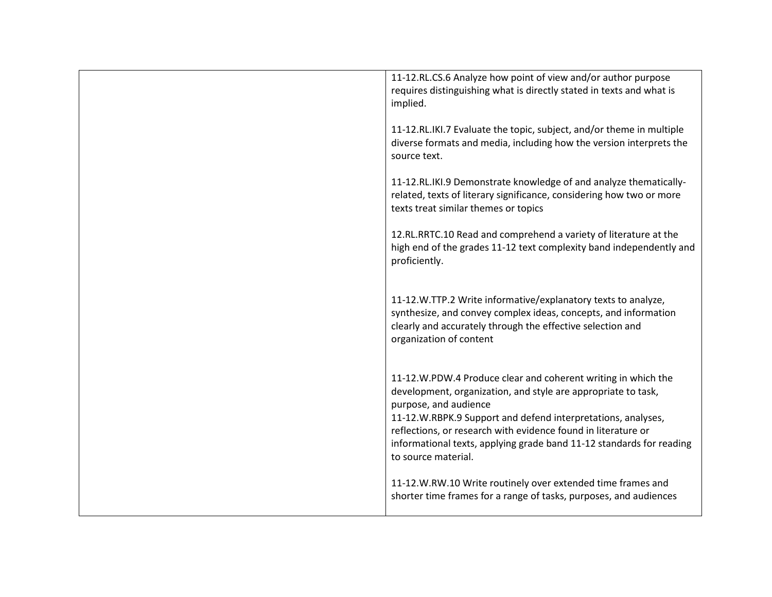| 11-12.RL.CS.6 Analyze how point of view and/or author purpose<br>requires distinguishing what is directly stated in texts and what is<br>implied.                                                                                                                                                                                                                                       |
|-----------------------------------------------------------------------------------------------------------------------------------------------------------------------------------------------------------------------------------------------------------------------------------------------------------------------------------------------------------------------------------------|
| 11-12.RL.IKI.7 Evaluate the topic, subject, and/or theme in multiple<br>diverse formats and media, including how the version interprets the<br>source text.                                                                                                                                                                                                                             |
| 11-12.RL.IKI.9 Demonstrate knowledge of and analyze thematically-<br>related, texts of literary significance, considering how two or more<br>texts treat similar themes or topics                                                                                                                                                                                                       |
| 12.RL.RRTC.10 Read and comprehend a variety of literature at the<br>high end of the grades 11-12 text complexity band independently and<br>proficiently.                                                                                                                                                                                                                                |
| 11-12.W.TTP.2 Write informative/explanatory texts to analyze,<br>synthesize, and convey complex ideas, concepts, and information<br>clearly and accurately through the effective selection and<br>organization of content                                                                                                                                                               |
| 11-12.W.PDW.4 Produce clear and coherent writing in which the<br>development, organization, and style are appropriate to task,<br>purpose, and audience<br>11-12.W.RBPK.9 Support and defend interpretations, analyses,<br>reflections, or research with evidence found in literature or<br>informational texts, applying grade band 11-12 standards for reading<br>to source material. |
| 11-12.W.RW.10 Write routinely over extended time frames and<br>shorter time frames for a range of tasks, purposes, and audiences                                                                                                                                                                                                                                                        |